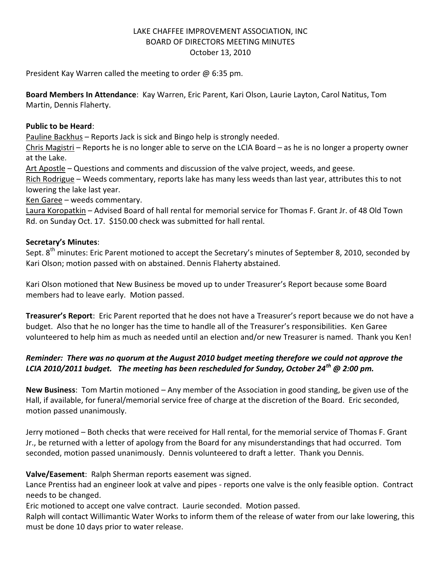# LAKE CHAFFEE IMPROVEMENT ASSOCIATION, INC BOARD OF DIRECTORS MEETING MINUTES October 13, 2010

President Kay Warren called the meeting to order  $\omega$  6:35 pm.

**Board Members In Attendance**: Kay Warren, Eric Parent, Kari Olson, Laurie Layton, Carol Natitus, Tom Martin, Dennis Flaherty.

#### **Public to be Heard**:

Pauline Backhus – Reports Jack is sick and Bingo help is strongly needed.

Chris Magistri – Reports he is no longer able to serve on the LCIA Board – as he is no longer a property owner at the Lake.

Art Apostle – Questions and comments and discussion of the valve project, weeds, and geese.

Rich Rodrigue – Weeds commentary, reports lake has many less weeds than last year, attributes this to not lowering the lake last year.

Ken Garee – weeds commentary.

Laura Koropatkin – Advised Board of hall rental for memorial service for Thomas F. Grant Jr. of 48 Old Town Rd. on Sunday Oct. 17. \$150.00 check was submitted for hall rental.

## **Secretary's Minutes**:

Sept. 8<sup>th</sup> minutes: Eric Parent motioned to accept the Secretary's minutes of September 8, 2010, seconded by Kari Olson; motion passed with on abstained. Dennis Flaherty abstained.

Kari Olson motioned that New Business be moved up to under Treasurer's Report because some Board members had to leave early. Motion passed.

**Treasurer's Report**: Eric Parent reported that he does not have a Treasurer's report because we do not have a budget. Also that he no longer has the time to handle all of the Treasurer's responsibilities. Ken Garee volunteered to help him as much as needed until an election and/or new Treasurer is named. Thank you Ken!

# *Reminder: There was no quorum at the August 2010 budget meeting therefore we could not approve the LCIA 2010/2011 budget. The meeting has been rescheduled for Sunday, October 24th @ 2:00 pm.*

**New Business**: Tom Martin motioned – Any member of the Association in good standing, be given use of the Hall, if available, for funeral/memorial service free of charge at the discretion of the Board. Eric seconded, motion passed unanimously.

Jerry motioned – Both checks that were received for Hall rental, for the memorial service of Thomas F. Grant Jr., be returned with a letter of apology from the Board for any misunderstandings that had occurred. Tom seconded, motion passed unanimously. Dennis volunteered to draft a letter. Thank you Dennis.

# **Valve/Easement**: Ralph Sherman reports easement was signed.

Lance Prentiss had an engineer look at valve and pipes - reports one valve is the only feasible option. Contract needs to be changed.

Eric motioned to accept one valve contract. Laurie seconded. Motion passed.

Ralph will contact Willimantic Water Works to inform them of the release of water from our lake lowering, this must be done 10 days prior to water release.